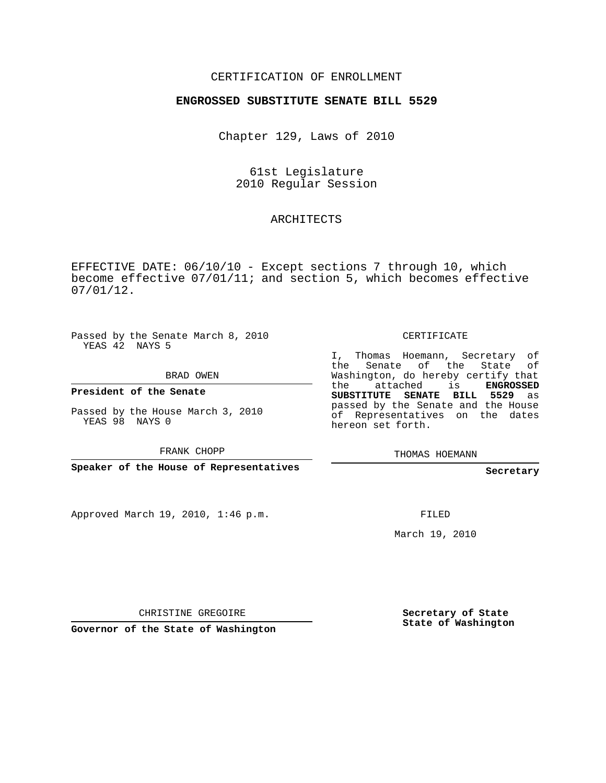## CERTIFICATION OF ENROLLMENT

#### **ENGROSSED SUBSTITUTE SENATE BILL 5529**

Chapter 129, Laws of 2010

61st Legislature 2010 Regular Session

### ARCHITECTS

EFFECTIVE DATE: 06/10/10 - Except sections 7 through 10, which become effective 07/01/11; and section 5, which becomes effective 07/01/12.

Passed by the Senate March 8, 2010 YEAS 42 NAYS 5

BRAD OWEN

**President of the Senate**

Passed by the House March 3, 2010 YEAS 98 NAYS 0

FRANK CHOPP

**Speaker of the House of Representatives**

Approved March 19, 2010, 1:46 p.m.

CERTIFICATE

I, Thomas Hoemann, Secretary of the Senate of the State of Washington, do hereby certify that the attached is **ENGROSSED SUBSTITUTE SENATE BILL 5529** as passed by the Senate and the House of Representatives on the dates hereon set forth.

THOMAS HOEMANN

**Secretary**

FILED

March 19, 2010

CHRISTINE GREGOIRE

**Governor of the State of Washington**

**Secretary of State State of Washington**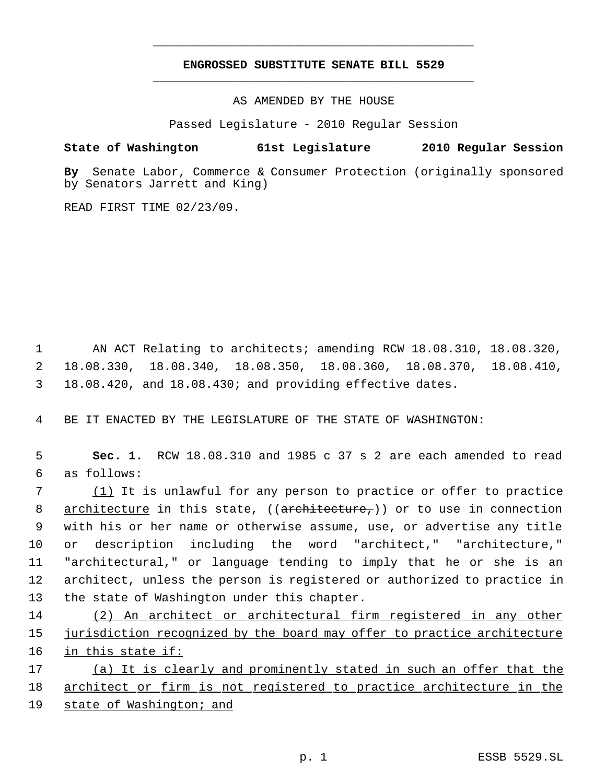# **ENGROSSED SUBSTITUTE SENATE BILL 5529** \_\_\_\_\_\_\_\_\_\_\_\_\_\_\_\_\_\_\_\_\_\_\_\_\_\_\_\_\_\_\_\_\_\_\_\_\_\_\_\_\_\_\_\_\_

\_\_\_\_\_\_\_\_\_\_\_\_\_\_\_\_\_\_\_\_\_\_\_\_\_\_\_\_\_\_\_\_\_\_\_\_\_\_\_\_\_\_\_\_\_

AS AMENDED BY THE HOUSE

Passed Legislature - 2010 Regular Session

## **State of Washington 61st Legislature 2010 Regular Session**

**By** Senate Labor, Commerce & Consumer Protection (originally sponsored by Senators Jarrett and King)

READ FIRST TIME 02/23/09.

 1 AN ACT Relating to architects; amending RCW 18.08.310, 18.08.320, 2 18.08.330, 18.08.340, 18.08.350, 18.08.360, 18.08.370, 18.08.410, 3 18.08.420, and 18.08.430; and providing effective dates.

4 BE IT ENACTED BY THE LEGISLATURE OF THE STATE OF WASHINGTON:

 5 **Sec. 1.** RCW 18.08.310 and 1985 c 37 s 2 are each amended to read 6 as follows:

7 (1) It is unlawful for any person to practice or offer to practice 8 architecture in this state, ((architecture,)) or to use in connection with his or her name or otherwise assume, use, or advertise any title or description including the word "architect," "architecture," "architectural," or language tending to imply that he or she is an architect, unless the person is registered or authorized to practice in the state of Washington under this chapter.

14 (2) An architect or architectural firm registered in any other 15 jurisdiction recognized by the board may offer to practice architecture 16 in this state if:

17 (a) It is clearly and prominently stated in such an offer that the 18 architect or firm is not registered to practice architecture in the 19 state of Washington; and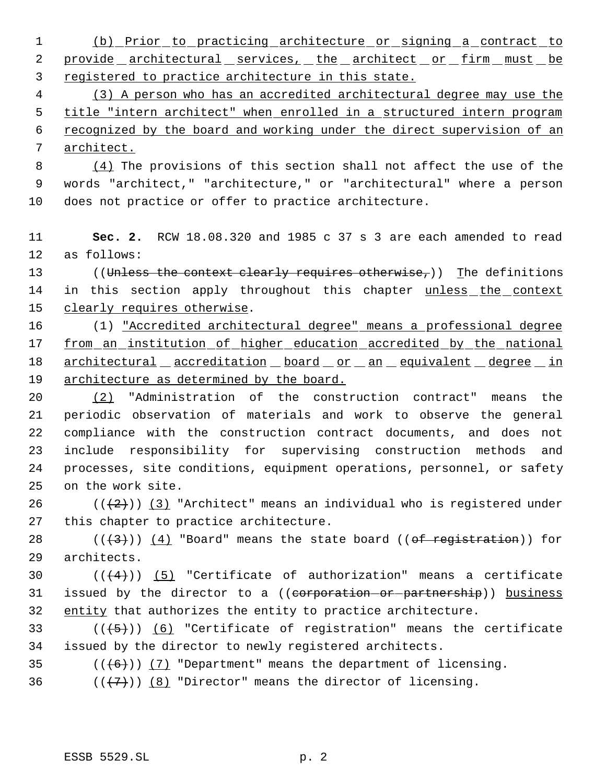1 (b) Prior to practicing architecture or signing a contract to 2 provide architectural services, the architect or firm must be 3 registered to practice architecture in this state.

 (3) A person who has an accredited architectural degree may use the title "intern architect" when enrolled in a structured intern program recognized by the board and working under the direct supervision of an architect.

 8 (4) The provisions of this section shall not affect the use of the 9 words "architect," "architecture," or "architectural" where a person 10 does not practice or offer to practice architecture.

11 **Sec. 2.** RCW 18.08.320 and 1985 c 37 s 3 are each amended to read 12 as follows:

13 ((Unless the context clearly requires otherwise,)) The definitions 14 in this section apply throughout this chapter unless the context 15 clearly requires otherwise.

16 (1) "Accredited architectural degree" means a professional degree 17 from an institution of higher education accredited by the national 18 architectural accreditation board or an equivalent degree in 19 architecture as determined by the board.

 (2) "Administration of the construction contract" means the periodic observation of materials and work to observe the general compliance with the construction contract documents, and does not include responsibility for supervising construction methods and processes, site conditions, equipment operations, personnel, or safety on the work site.

26 ( $(\frac{2}{2})$ ) (3) "Architect" means an individual who is registered under 27 this chapter to practice architecture.

28  $((\langle 3 \rangle)(4)$  "Board" means the state board ((of registration)) for 29 architects.

30  $((+4))$   $(5)$  "Certificate of authorization" means a certificate 31 issued by the director to a ((corporation-or-partnership)) business 32 entity that authorizes the entity to practice architecture.

33  $((+5))$   $(6)$  "Certificate of registration" means the certificate 34 issued by the director to newly registered architects.

35  $((\langle 6 \rangle)(7)$  "Department" means the department of licensing.

36  $((+7))$  (8) "Director" means the director of licensing.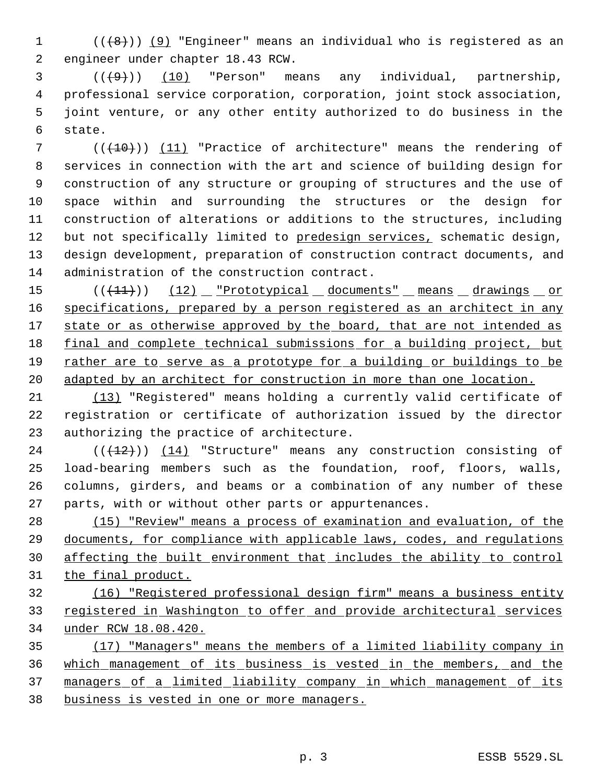$((\{8\})$  (9) "Engineer" means an individual who is registered as an engineer under chapter 18.43 RCW.

 $(3)$  (( $(49)$ )) (10) "Person" means any individual, partnership, professional service corporation, corporation, joint stock association, joint venture, or any other entity authorized to do business in the state.

7 (( $(10)$ )) (11) "Practice of architecture" means the rendering of services in connection with the art and science of building design for construction of any structure or grouping of structures and the use of space within and surrounding the structures or the design for construction of alterations or additions to the structures, including 12 but not specifically limited to predesign services, schematic design, design development, preparation of construction contract documents, and administration of the construction contract.

15 (( $(11)$ )) (12) "Prototypical documents" means drawings or 16 specifications, prepared by a person registered as an architect in any 17 state or as otherwise approved by the board, that are not intended as 18 final and complete technical submissions for a building project, but 19 rather are to serve as a prototype for a building or buildings to be 20 adapted by an architect for construction in more than one location.

 (13) "Registered" means holding a currently valid certificate of registration or certificate of authorization issued by the director authorizing the practice of architecture.

 (( $(12)$ ))  $(14)$  "Structure" means any construction consisting of load-bearing members such as the foundation, roof, floors, walls, columns, girders, and beams or a combination of any number of these parts, with or without other parts or appurtenances.

 (15) "Review" means a process of examination and evaluation, of the documents, for compliance with applicable laws, codes, and regulations affecting the built environment that includes the ability to control the final product.

 (16) "Registered professional design firm" means a business entity 33 registered in Washington to offer and provide architectural services under RCW 18.08.420.

 (17) "Managers" means the members of a limited liability company in which management of its business is vested in the members, and the 37 managers of a limited liability company in which management of its business is vested in one or more managers.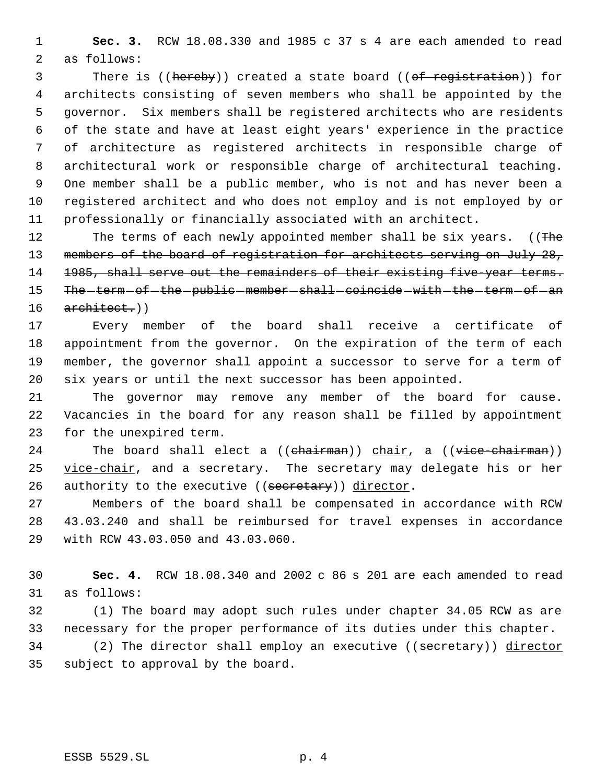**Sec. 3.** RCW 18.08.330 and 1985 c 37 s 4 are each amended to read as follows:

3 There is ((hereby)) created a state board ((of registration)) for architects consisting of seven members who shall be appointed by the governor. Six members shall be registered architects who are residents of the state and have at least eight years' experience in the practice of architecture as registered architects in responsible charge of architectural work or responsible charge of architectural teaching. One member shall be a public member, who is not and has never been a registered architect and who does not employ and is not employed by or professionally or financially associated with an architect.

12 The terms of each newly appointed member shall be six years. ((The 13 members of the board of registration for architects serving on July 28, 14 1985, shall serve out the remainders of their existing five-year terms. 15 The -term - of -the -public -member -shall -coincide - with -the -term - of -an architect.))

 Every member of the board shall receive a certificate of appointment from the governor. On the expiration of the term of each member, the governor shall appoint a successor to serve for a term of six years or until the next successor has been appointed.

 The governor may remove any member of the board for cause. Vacancies in the board for any reason shall be filled by appointment for the unexpired term.

24 The board shall elect a  $((**chairman**))$  chair, a  $((**vice-chairman**))$  vice-chair, and a secretary. The secretary may delegate his or her 26 authority to the executive ((secretary)) director.

 Members of the board shall be compensated in accordance with RCW 43.03.240 and shall be reimbursed for travel expenses in accordance with RCW 43.03.050 and 43.03.060.

 **Sec. 4.** RCW 18.08.340 and 2002 c 86 s 201 are each amended to read as follows:

 (1) The board may adopt such rules under chapter 34.05 RCW as are necessary for the proper performance of its duties under this chapter.

34 (2) The director shall employ an executive ((secretary)) director subject to approval by the board.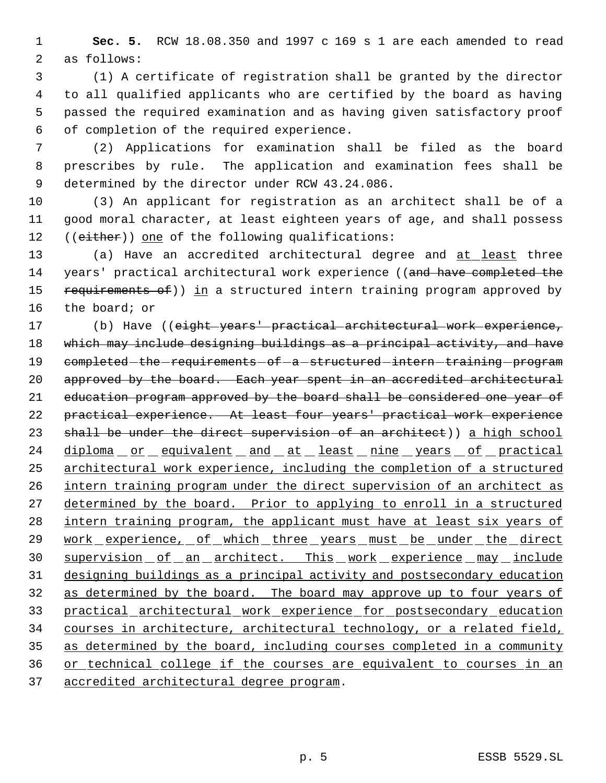**Sec. 5.** RCW 18.08.350 and 1997 c 169 s 1 are each amended to read as follows:

 (1) A certificate of registration shall be granted by the director to all qualified applicants who are certified by the board as having passed the required examination and as having given satisfactory proof of completion of the required experience.

 (2) Applications for examination shall be filed as the board prescribes by rule. The application and examination fees shall be determined by the director under RCW 43.24.086.

 (3) An applicant for registration as an architect shall be of a good moral character, at least eighteen years of age, and shall possess 12 ((either)) one of the following qualifications:

13 (a) Have an accredited architectural degree and at least three 14 years' practical architectural work experience ((and have completed the 15 requirements of)) in a structured intern training program approved by the board; or

 (b) Have ((eight years' practical architectural work experience, which may include designing buildings as a principal activity, and have 19 completed - the - requirements - of - a - structured - intern - training - program 20 approved by the board. Each year spent in an accredited architectural 21 education program approved by the board shall be considered one year of practical experience. At least four years' practical work experience 23 shall be under the direct supervision of an architect)) a high school 24 diploma or equivalent and at least nine years of practical architectural work experience, including the completion of a structured intern training program under the direct supervision of an architect as determined by the board. Prior to applying to enroll in a structured 28 intern training program, the applicant must have at least six years of 29 work experience, of which three years must be under the direct 30 supervision of an architect. This work experience may include designing buildings as a principal activity and postsecondary education as determined by the board. The board may approve up to four years of practical architectural work experience for postsecondary education courses in architecture, architectural technology, or a related field, as determined by the board, including courses completed in a community or technical college if the courses are equivalent to courses in an accredited architectural degree program.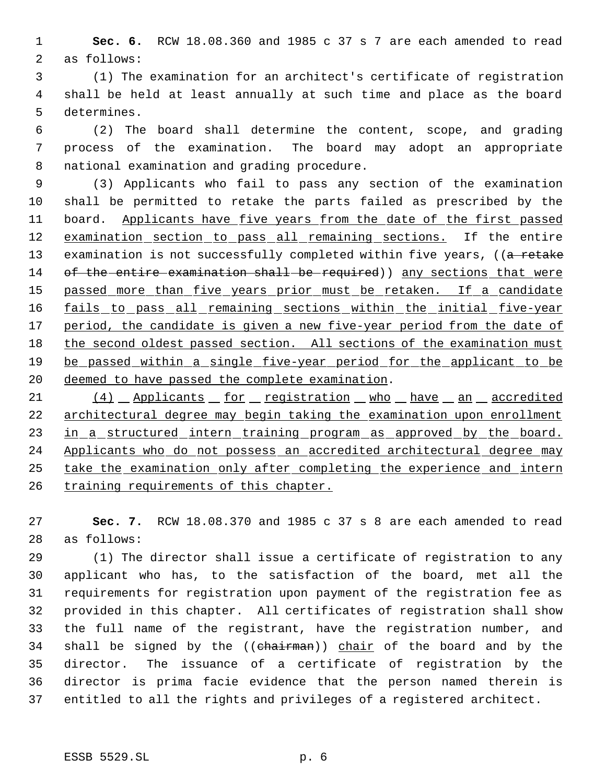**Sec. 6.** RCW 18.08.360 and 1985 c 37 s 7 are each amended to read as follows:

 (1) The examination for an architect's certificate of registration shall be held at least annually at such time and place as the board determines.

 (2) The board shall determine the content, scope, and grading process of the examination. The board may adopt an appropriate national examination and grading procedure.

 (3) Applicants who fail to pass any section of the examination shall be permitted to retake the parts failed as prescribed by the 11 board. Applicants have five years from the date of the first passed 12 examination section to pass all remaining sections. If the entire 13 examination is not successfully completed within five years, ((a retake 14 of the entire examination shall be required)) any sections that were 15 passed more than five years prior must be retaken. If a candidate 16 fails to pass all remaining sections within the initial five-year 17 period, the candidate is given a new five-year period from the date of 18 the second oldest passed section. All sections of the examination must 19 be passed within a single five-year period for the applicant to be deemed to have passed the complete examination.

21 (4) Applicants for registration who have an accredited architectural degree may begin taking the examination upon enrollment 23 in a structured intern training program as approved by the board. Applicants who do not possess an accredited architectural degree may take the examination only after completing the experience and intern 26 training requirements of this chapter.

 **Sec. 7.** RCW 18.08.370 and 1985 c 37 s 8 are each amended to read as follows:

 (1) The director shall issue a certificate of registration to any applicant who has, to the satisfaction of the board, met all the requirements for registration upon payment of the registration fee as provided in this chapter. All certificates of registration shall show the full name of the registrant, have the registration number, and 34 shall be signed by the ((chairman)) chair of the board and by the director. The issuance of a certificate of registration by the director is prima facie evidence that the person named therein is entitled to all the rights and privileges of a registered architect.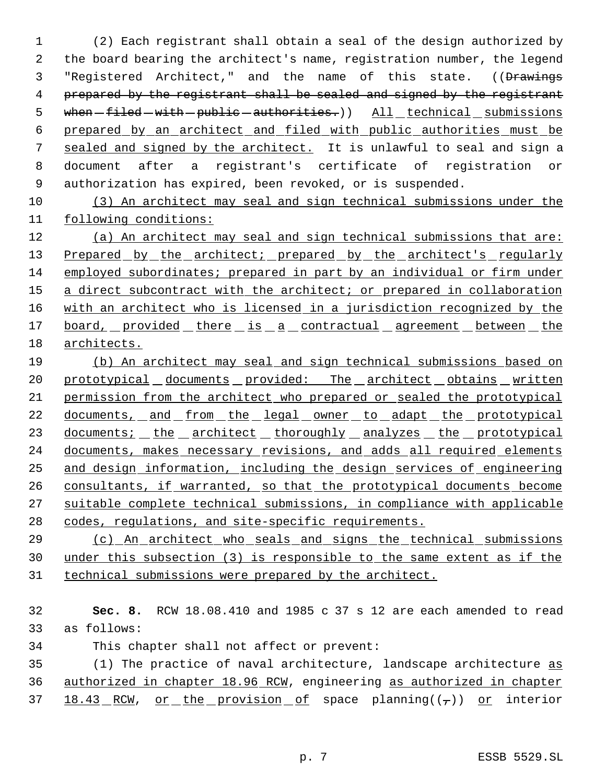(2) Each registrant shall obtain a seal of the design authorized by the board bearing the architect's name, registration number, the legend 3 "Registered Architect," and the name of this state. ((Drawings 4 prepared by the registrant shall be sealed and signed by the registrant 5 when -filed - with - public - authorities.) ) All \_ technical \_ submissions prepared by an architect and filed with public authorities must be 7 sealed and signed by the architect. It is unlawful to seal and sign a document after a registrant's certificate of registration or authorization has expired, been revoked, or is suspended.

 (3) An architect may seal and sign technical submissions under the following conditions:

 (a) An architect may seal and sign technical submissions that are: 13 Prepared by the architect; prepared by the architect's regularly employed subordinates; prepared in part by an individual or firm under 15 a direct subcontract with the architect; or prepared in collaboration with an architect who is licensed in a jurisdiction recognized by the 17 board, provided there is a contractual agreement between the architects.

 (b) An architect may seal and sign technical submissions based on 20 prototypical documents provided: The architect obtains written permission from the architect who prepared or sealed the prototypical 22 documents, and from the legal owner to adapt the prototypical 23 documents; the architect thoroughly analyzes the prototypical 24 documents, makes necessary revisions, and adds all required elements and design information, including the design services of engineering 26 consultants, if warranted, so that the prototypical documents become suitable complete technical submissions, in compliance with applicable 28 codes, requlations, and site-specific requirements.

 (c) An architect who seals and signs the technical submissions under this subsection (3) is responsible to the same extent as if the technical submissions were prepared by the architect.

 **Sec. 8.** RCW 18.08.410 and 1985 c 37 s 12 are each amended to read as follows:

This chapter shall not affect or prevent:

 (1) The practice of naval architecture, landscape architecture as authorized in chapter 18.96 RCW, engineering as authorized in chapter 37  $18.43$  RCW, or the provision of space planning( $(\tau)$ ) or interior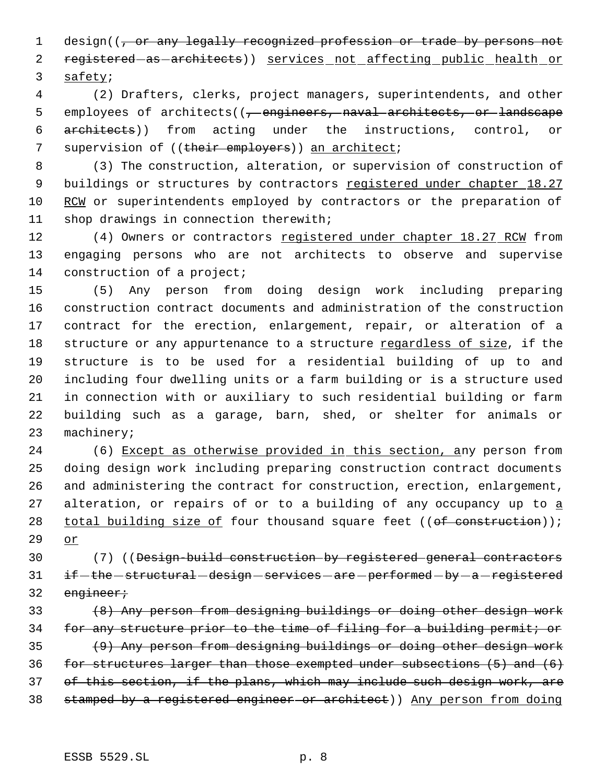1 design((, or any legally recognized profession or trade by persons not 2 registered as architects)) services not affecting public health or 3 safety;

 4 (2) Drafters, clerks, project managers, superintendents, and other 5 employees of architects((, engineers, naval architects, or landscape 6 architects)) from acting under the instructions, control, or 7 supervision of ((their employers)) an architect;

 8 (3) The construction, alteration, or supervision of construction of 9 buildings or structures by contractors registered under chapter 18.27 10 RCW or superintendents employed by contractors or the preparation of 11 shop drawings in connection therewith;

12 (4) Owners or contractors registered under chapter 18.27 RCW from 13 engaging persons who are not architects to observe and supervise 14 construction of a project;

 (5) Any person from doing design work including preparing construction contract documents and administration of the construction contract for the erection, enlargement, repair, or alteration of a 18 structure or any appurtenance to a structure regardless of size, if the structure is to be used for a residential building of up to and including four dwelling units or a farm building or is a structure used in connection with or auxiliary to such residential building or farm building such as a garage, barn, shed, or shelter for animals or machinery;

24 (6) Except as otherwise provided in this section, any person from 25 doing design work including preparing construction contract documents 26 and administering the contract for construction, erection, enlargement, 27 alteration, or repairs of or to a building of any occupancy up to a 28 total building size of four thousand square feet  $((of construction))$ ; 29 or

30 (7) ((Design-build construction by registered general contractors 31 if -the -structural -design -services -are -performed -by -a -registered 32 engineer;

33 (8) Any person from designing buildings or doing other design work 34 for any structure prior to the time of filing for a building permit; or 35 (9) Any person from designing buildings or doing other design work 36 for structures larger than those exempted under subsections (5) and (6) 37 of this section, if the plans, which may include such design work, are 38 stamped by a registered engineer or architect)) Any person from doing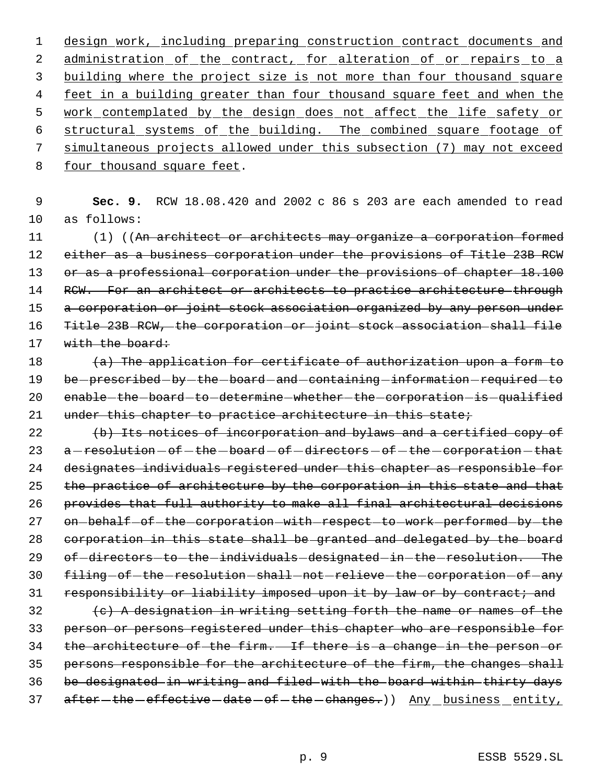design work, including preparing construction contract documents and 2 administration of the contract, for alteration of or repairs to a 3 building where the project size is not more than four thousand square 4 feet in a building greater than four thousand square feet and when the work contemplated by the design does not affect the life safety or structural systems of the building. The combined square footage of simultaneous projects allowed under this subsection (7) may not exceed four thousand square feet.

 9 **Sec. 9.** RCW 18.08.420 and 2002 c 86 s 203 are each amended to read 10 as follows:

11 (1) ((An architect or architects may organize a corporation formed 12 either as a business corporation under the provisions of Title 23B RCW 13 or as a professional corporation under the provisions of chapter 18.100 14 RCW. For an architect or architects to practice architecture through 15 a corporation or joint stock association organized by any person under 16 Title 23B RCW, the corporation or joint stock association shall file 17 with the board:

18  $(a)$  The application for certificate of authorization upon a form to 19 be -prescribed -by -the -board -and -containing -information -required -to 20 enable-the-board-to-determine-whether-the-corporation-is-qualified 21 under this chapter to practice architecture in this state;

22 (b) Its notices of incorporation and bylaws and a certified copy of 23 a - resolution - of - the - board - of - directors - of - the - corporation - that 24 designates individuals registered under this chapter as responsible for 25 the practice of architecture by the corporation in this state and that 26 provides that full authority to make all final architectural decisions 27 on-behalf-of-the-corporation-with-respect-to-work-performed-by-the 28 corporation in this state shall be granted and delegated by the board 29 of-directors-to-the-individuals-designated-in-the-resolution. The 30 filing-of-the-resolution-shall-not-relieve-the-corporation-of-any 31 responsibility or liability imposed upon it by law or by contract; and

 (c) A designation in writing setting forth the name or names of the person or persons registered under this chapter who are responsible for 34 the architecture of the firm. If there is a change in the person or persons responsible for the architecture of the firm, the changes shall be designated in writing and filed with the board within thirty days 37 after-the-effective-date-of-the-changes.)) Any business entity,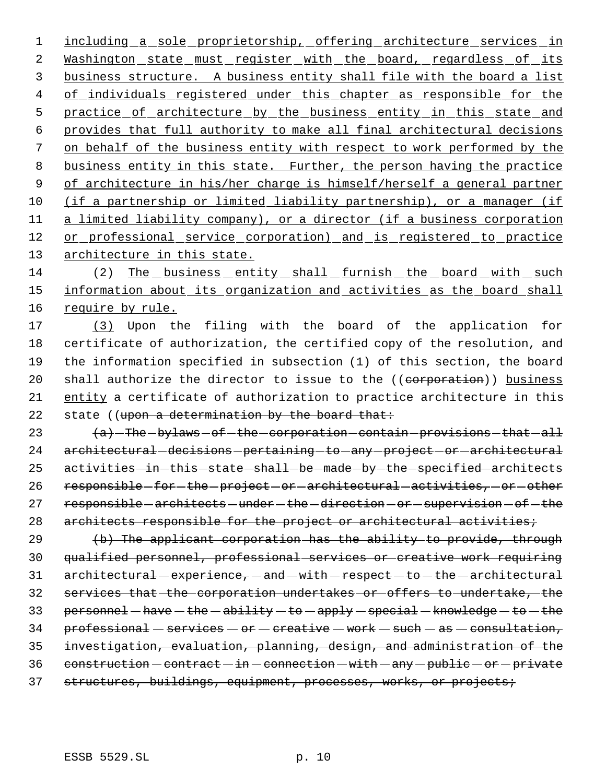1 including a sole proprietorship, offering architecture services in 2 Washington state must register with the board, regardless of its 3 business structure. A business entity shall file with the board a list 4 of individuals registered under this chapter as responsible for the 5 practice of architecture by the business entity in this state and 6 provides that full authority to make all final architectural decisions 7 on behalf of the business entity with respect to work performed by the 8 business entity in this state. Further, the person having the practice 9 of architecture in his/her charge is himself/herself a general partner 10 (if a partnership or limited liability partnership), or a manager (if 11 a limited liability company), or a director (if a business corporation 12 or professional service corporation) and is registered to practice 13 architecture in this state.

14 (2) The business entity shall furnish the board with such 15 information about its organization and activities as the board shall 16 require by rule.

 (3) Upon the filing with the board of the application for certificate of authorization, the certified copy of the resolution, and the information specified in subsection (1) of this section, the board 20 shall authorize the director to issue to the ((corporation)) business entity a certificate of authorization to practice architecture in this 22 state ((upon a determination by the board that:

23  $(a)$  -The -bylaws - of -the -corporation -contain -provisions -that - all 24 architectural -decisions -pertaining -to -any -project -or -architectural 25 activities in this state shall be made by the specified architects 26 responsible-for-the-project-or-architectural-activities,-or-other 27 responsible - architects - under - the - direction - or - supervision - of - the 28 architects responsible for the project or architectural activities;

 $(b)$  The applicant corporation has the ability to provide, through qualified personnel, professional services or creative work requiring architectural - experience, - and - with - respect - to - the - architectural services that the corporation undertakes or offers to undertake, the 33 personnel  $-\text{have}-\text{the}-\text{ability}-\text{e}-\text{apply}-\text{special}-\text{knowledge}-\text{te}-\text{the}$  professional - services - or - creative - work - such - as - consultation, investigation, evaluation, planning, design, and administration of the construction  $-$  contract  $-$  in  $-$  connection  $-$  with  $-$  any  $-$  public  $-$  or  $-$  private 37 structures, buildings, equipment, processes, works, or projects;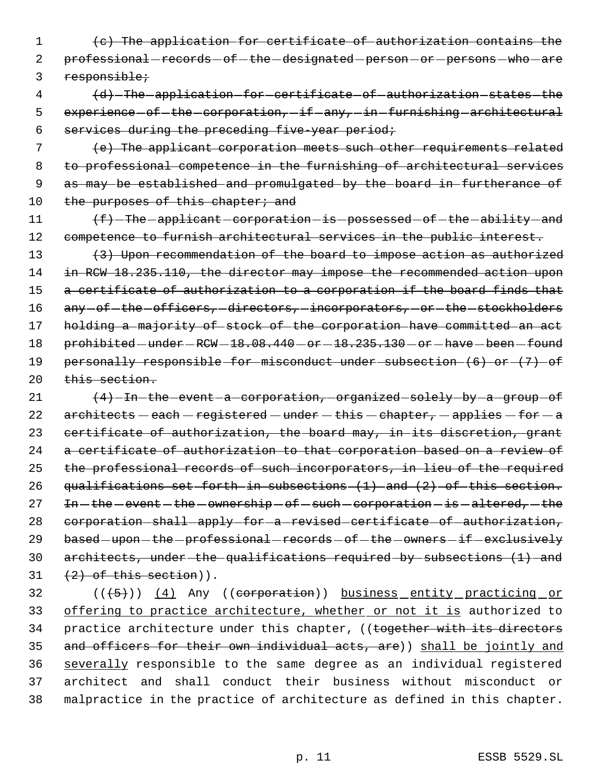1 (c) The application for certificate of authorization contains the 2 professional-records-of-the-designated-person-or-persons-who-are 3 responsible;

 4 (d) The application for certificate of authorization states the 5 experience of the corporation, if any, in furnishing architectural 6 services during the preceding five-year period;

 7 (e) The applicant corporation meets such other requirements related 8 to professional competence in the furnishing of architectural services 9 as may be established and promulgated by the board in furtherance of 10 the purposes of this chapter; and

11  $\text{f}-\text{The-application}-\text{is-possessed-of-the-ability-and}$ 12 competence to furnish architectural services in the public interest.

13 (3) Upon recommendation of the board to impose action as authorized 14 in RCW 18.235.110, the director may impose the recommended action upon 15 a certificate of authorization to a corporation if the board finds that 16 any -of-the -officers, -directors, -incorporators, -or -the -stockholders 17 holding a majority of stock of the corporation have committed an act 18  $perohibited-under-RCW-18.08.440-or-18.235.130-or-have-been-found$ 19 personally responsible for misconduct under subsection (6) or (7) of 20 this section.

21  $(4)$ -In-the-event-a-corporation, organized solely by a group of 22  $\architects - each - registered - under - this - chapter, - applies - for - a$ 23 certificate of authorization, the board may, in its discretion, grant 24 a certificate of authorization to that corporation based on a review of 25 the professional records of such incorporators, in lieu of the required 26 qualifications set forth in subsections (1) and (2) of this section.  $27$  In -the -event -the -ownership -of -such -corporation -is -altered, -the 28 corporation-shall-apply-for-a-revised-certificate-of-authorization, 29 based-upon-the-professional-records-of-the-owners-if-exclusively 30 architects, under the qualifications required by subsections (1) and  $31 \quad (2)$  of this section)).

32 (((5))) (4) Any ((corporation)) business entity practicing or 33 offering to practice architecture, whether or not it is authorized to 34 practice architecture under this chapter, ((together with its directors 35 and officers for their own individual acts, are)) shall be jointly and 36 severally responsible to the same degree as an individual registered 37 architect and shall conduct their business without misconduct or 38 malpractice in the practice of architecture as defined in this chapter.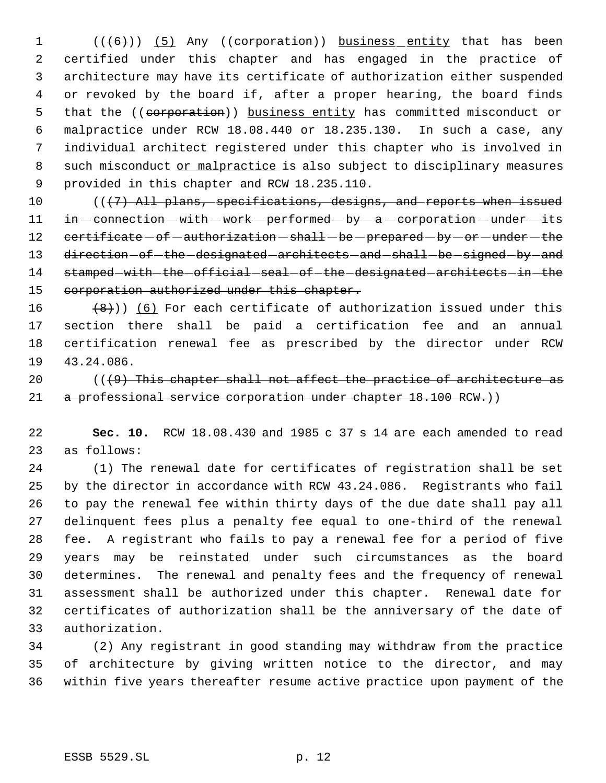1 (((6)) (5) Any ((corporation)) business entity that has been certified under this chapter and has engaged in the practice of architecture may have its certificate of authorization either suspended or revoked by the board if, after a proper hearing, the board finds 5 that the ((corporation)) business entity has committed misconduct or malpractice under RCW 18.08.440 or 18.235.130. In such a case, any individual architect registered under this chapter who is involved in 8 such misconduct or malpractice is also subject to disciplinary measures provided in this chapter and RCW 18.235.110.

10 (((7) All plans, specifications, designs, and reports when issued in  $-$  connection  $-$  with  $-$  work  $-$  performed  $-$  by  $-$  a  $-$  corporation  $-$  under  $-$  its 12 certificate - of - authorization - shall - be - prepared - by - or - under - the 13 direction - of - the - designated - architects - and - shall - be - signed - by - and 14 stamped with the official seal of the designated architects in the 15 corporation authorized under this chapter.

 $(8)$ )) (6) For each certificate of authorization issued under this section there shall be paid a certification fee and an annual certification renewal fee as prescribed by the director under RCW 43.24.086.

 $((49)$  This chapter shall not affect the practice of architecture as 21 a professional service corporation under chapter 18.100 RCW.))

 **Sec. 10.** RCW 18.08.430 and 1985 c 37 s 14 are each amended to read as follows:

 (1) The renewal date for certificates of registration shall be set by the director in accordance with RCW 43.24.086. Registrants who fail to pay the renewal fee within thirty days of the due date shall pay all delinquent fees plus a penalty fee equal to one-third of the renewal fee. A registrant who fails to pay a renewal fee for a period of five years may be reinstated under such circumstances as the board determines. The renewal and penalty fees and the frequency of renewal assessment shall be authorized under this chapter. Renewal date for certificates of authorization shall be the anniversary of the date of authorization.

 (2) Any registrant in good standing may withdraw from the practice of architecture by giving written notice to the director, and may within five years thereafter resume active practice upon payment of the